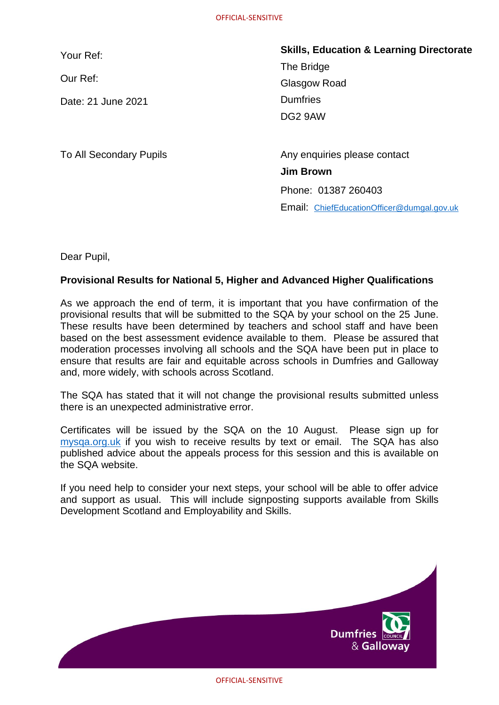Your Ref:

Our Ref:

Date: 21 June 2021

**Skills, Education & Learning Directorate** The Bridge Glasgow Road **Dumfries** DG2 9AW

To All Secondary Pupils **Any enquiries please contact Belinda Thomson Jim Brown** Phone: 01387 260403 Email:ChiefEducationOfficer@dumgal.gov.uk

Dear Pupil,

## **Provisional Results for National 5, Higher and Advanced Higher Qualifications**

Mobile: 07584800877 provisional results that will be submitted to the SQA by your school on the 25 June. As we approach the end of term, it is important that you have confirmation of the These results have been determined by teachers and school staff and have been based on the best assessment evidence available to them. Please be assured that moderation processes involving all schools and the SQA have been put in place to ensure that results are fair and equitable across schools in Dumfries and Galloway and, more widely, with schools across Scotland.

The SQA has stated that it will not change the provisional results submitted unless there is an unexpected administrative error.

Certificates will be issued by the SQA on the 10 August. Please sign up for [mysqa.org.uk](https://www.mysqa.org.uk/cs8/content/secure/my_homepage.jsp) if you wish to receive results by text or email. The SQA has also published advice about the appeals process for this session and this is available on the SQA website.

If you need help to consider your next steps, your school will be able to offer advice and support as usual. This will include signposting supports available from Skills Development Scotland and Employability and Skills.